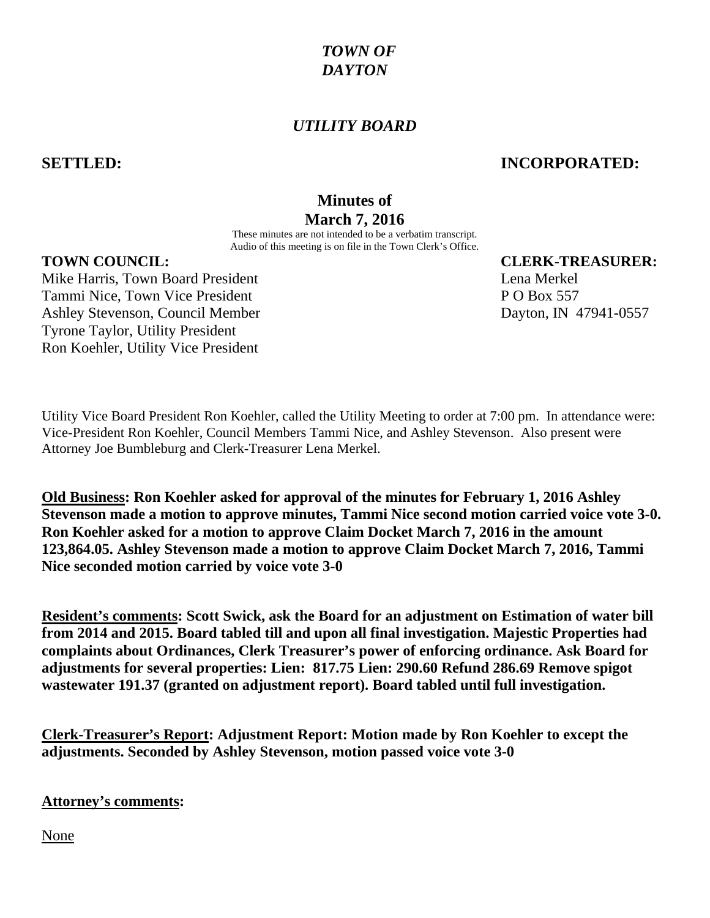## *TOWN OF DAYTON*

## *UTILITY BOARD*

#### **SETTLED: INCORPORATED:**

# **Minutes of March 7, 2016**

These minutes are not intended to be a verbatim transcript. Audio of this meeting is on file in the Town Clerk's Office.

Mike Harris, Town Board President Lena Merkel **Lena Merkel** Tammi Nice, Town Vice President P O Box 557 Ashley Stevenson, Council Member Dayton, IN 47941-0557 Tyrone Taylor, Utility President Ron Koehler, Utility Vice President

**TOWN COUNCIL: CLERK-TREASURER:**

Utility Vice Board President Ron Koehler, called the Utility Meeting to order at 7:00 pm. In attendance were: Vice-President Ron Koehler, Council Members Tammi Nice, and Ashley Stevenson. Also present were Attorney Joe Bumbleburg and Clerk-Treasurer Lena Merkel.

**Old Business: Ron Koehler asked for approval of the minutes for February 1, 2016 Ashley Stevenson made a motion to approve minutes, Tammi Nice second motion carried voice vote 3-0. Ron Koehler asked for a motion to approve Claim Docket March 7, 2016 in the amount 123,864.05. Ashley Stevenson made a motion to approve Claim Docket March 7, 2016, Tammi Nice seconded motion carried by voice vote 3-0**

**Resident's comments: Scott Swick, ask the Board for an adjustment on Estimation of water bill from 2014 and 2015. Board tabled till and upon all final investigation. Majestic Properties had complaints about Ordinances, Clerk Treasurer's power of enforcing ordinance. Ask Board for adjustments for several properties: Lien: 817.75 Lien: 290.60 Refund 286.69 Remove spigot wastewater 191.37 (granted on adjustment report). Board tabled until full investigation.**

**Clerk-Treasurer's Report: Adjustment Report: Motion made by Ron Koehler to except the adjustments. Seconded by Ashley Stevenson, motion passed voice vote 3-0**

**Attorney's comments:**

None